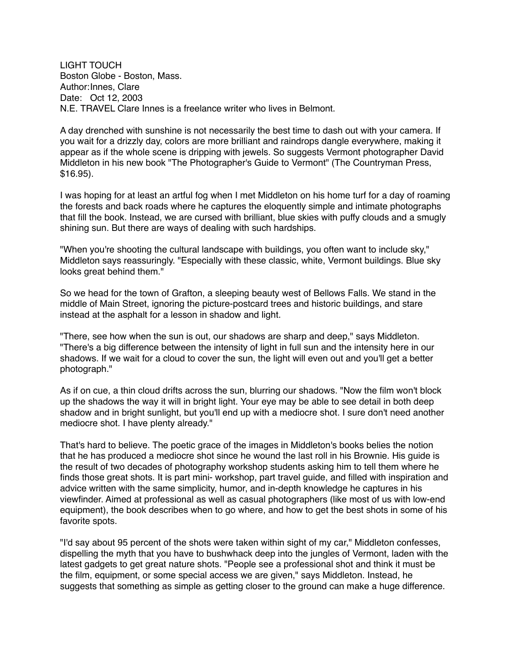LIGHT TOUCH Boston Globe - Boston, Mass. Author:Innes, Clare Date: Oct 12, 2003 N.E. TRAVEL Clare Innes is a freelance writer who lives in Belmont.

A day drenched with sunshine is not necessarily the best time to dash out with your camera. If you wait for a drizzly day, colors are more brilliant and raindrops dangle everywhere, making it appear as if the whole scene is dripping with jewels. So suggests Vermont photographer David Middleton in his new book "The Photographer's Guide to Vermont" (The Countryman Press, \$16.95).

I was hoping for at least an artful fog when I met Middleton on his home turf for a day of roaming the forests and back roads where he captures the eloquently simple and intimate photographs that fill the book. Instead, we are cursed with brilliant, blue skies with puffy clouds and a smugly shining sun. But there are ways of dealing with such hardships.

"When you're shooting the cultural landscape with buildings, you often want to include sky," Middleton says reassuringly. "Especially with these classic, white, Vermont buildings. Blue sky looks great behind them."

So we head for the town of Grafton, a sleeping beauty west of Bellows Falls. We stand in the middle of Main Street, ignoring the picture-postcard trees and historic buildings, and stare instead at the asphalt for a lesson in shadow and light.

"There, see how when the sun is out, our shadows are sharp and deep," says Middleton. "There's a big difference between the intensity of light in full sun and the intensity here in our shadows. If we wait for a cloud to cover the sun, the light will even out and you'll get a better photograph."

As if on cue, a thin cloud drifts across the sun, blurring our shadows. "Now the film won't block up the shadows the way it will in bright light. Your eye may be able to see detail in both deep shadow and in bright sunlight, but you'll end up with a mediocre shot. I sure don't need another mediocre shot. I have plenty already."

That's hard to believe. The poetic grace of the images in Middleton's books belies the notion that he has produced a mediocre shot since he wound the last roll in his Brownie. His guide is the result of two decades of photography workshop students asking him to tell them where he finds those great shots. It is part mini- workshop, part travel guide, and filled with inspiration and advice written with the same simplicity, humor, and in-depth knowledge he captures in his viewfinder. Aimed at professional as well as casual photographers (like most of us with low-end equipment), the book describes when to go where, and how to get the best shots in some of his favorite spots.

"I'd say about 95 percent of the shots were taken within sight of my car," Middleton confesses, dispelling the myth that you have to bushwhack deep into the jungles of Vermont, laden with the latest gadgets to get great nature shots. "People see a professional shot and think it must be the film, equipment, or some special access we are given," says Middleton. Instead, he suggests that something as simple as getting closer to the ground can make a huge difference.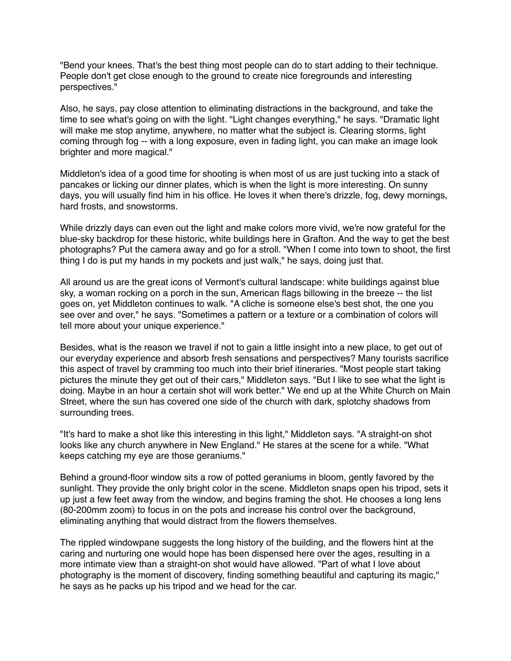"Bend your knees. That's the best thing most people can do to start adding to their technique. People don't get close enough to the ground to create nice foregrounds and interesting perspectives."

Also, he says, pay close attention to eliminating distractions in the background, and take the time to see what's going on with the light. "Light changes everything," he says. "Dramatic light will make me stop anytime, anywhere, no matter what the subject is. Clearing storms, light coming through fog -- with a long exposure, even in fading light, you can make an image look brighter and more magical."

Middleton's idea of a good time for shooting is when most of us are just tucking into a stack of pancakes or licking our dinner plates, which is when the light is more interesting. On sunny days, you will usually find him in his office. He loves it when there's drizzle, fog, dewy mornings, hard frosts, and snowstorms.

While drizzly days can even out the light and make colors more vivid, we're now grateful for the blue-sky backdrop for these historic, white buildings here in Grafton. And the way to get the best photographs? Put the camera away and go for a stroll. "When I come into town to shoot, the first thing I do is put my hands in my pockets and just walk," he says, doing just that.

All around us are the great icons of Vermont's cultural landscape: white buildings against blue sky, a woman rocking on a porch in the sun, American flags billowing in the breeze -- the list goes on, yet Middleton continues to walk. "A cliche is someone else's best shot, the one you see over and over," he says. "Sometimes a pattern or a texture or a combination of colors will tell more about your unique experience."

Besides, what is the reason we travel if not to gain a little insight into a new place, to get out of our everyday experience and absorb fresh sensations and perspectives? Many tourists sacrifice this aspect of travel by cramming too much into their brief itineraries. "Most people start taking pictures the minute they get out of their cars," Middleton says. "But I like to see what the light is doing. Maybe in an hour a certain shot will work better." We end up at the White Church on Main Street, where the sun has covered one side of the church with dark, splotchy shadows from surrounding trees.

"It's hard to make a shot like this interesting in this light," Middleton says. "A straight-on shot looks like any church anywhere in New England." He stares at the scene for a while. "What keeps catching my eye are those geraniums."

Behind a ground-floor window sits a row of potted geraniums in bloom, gently favored by the sunlight. They provide the only bright color in the scene. Middleton snaps open his tripod, sets it up just a few feet away from the window, and begins framing the shot. He chooses a long lens (80-200mm zoom) to focus in on the pots and increase his control over the background, eliminating anything that would distract from the flowers themselves.

The rippled windowpane suggests the long history of the building, and the flowers hint at the caring and nurturing one would hope has been dispensed here over the ages, resulting in a more intimate view than a straight-on shot would have allowed. "Part of what I love about photography is the moment of discovery, finding something beautiful and capturing its magic," he says as he packs up his tripod and we head for the car.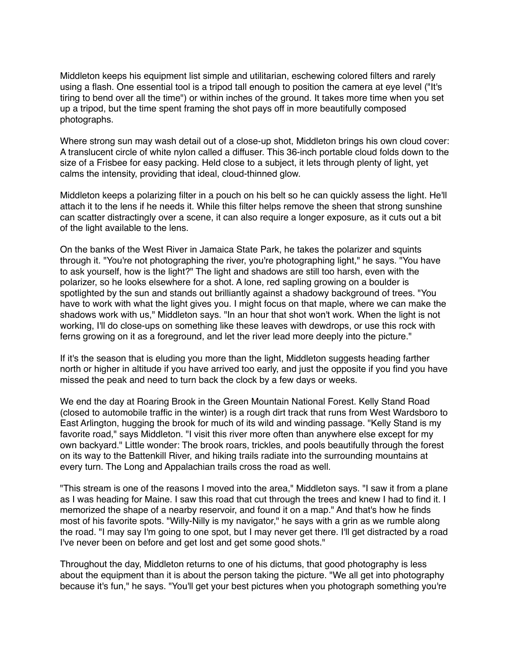Middleton keeps his equipment list simple and utilitarian, eschewing colored filters and rarely using a flash. One essential tool is a tripod tall enough to position the camera at eye level ("It's tiring to bend over all the time") or within inches of the ground. It takes more time when you set up a tripod, but the time spent framing the shot pays off in more beautifully composed photographs.

Where strong sun may wash detail out of a close-up shot, Middleton brings his own cloud cover: A translucent circle of white nylon called a diffuser. This 36-inch portable cloud folds down to the size of a Frisbee for easy packing. Held close to a subject, it lets through plenty of light, yet calms the intensity, providing that ideal, cloud-thinned glow.

Middleton keeps a polarizing filter in a pouch on his belt so he can quickly assess the light. He'll attach it to the lens if he needs it. While this filter helps remove the sheen that strong sunshine can scatter distractingly over a scene, it can also require a longer exposure, as it cuts out a bit of the light available to the lens.

On the banks of the West River in Jamaica State Park, he takes the polarizer and squints through it. "You're not photographing the river, you're photographing light," he says. "You have to ask yourself, how is the light?" The light and shadows are still too harsh, even with the polarizer, so he looks elsewhere for a shot. A lone, red sapling growing on a boulder is spotlighted by the sun and stands out brilliantly against a shadowy background of trees. "You have to work with what the light gives you. I might focus on that maple, where we can make the shadows work with us," Middleton says. "In an hour that shot won't work. When the light is not working, I'll do close-ups on something like these leaves with dewdrops, or use this rock with ferns growing on it as a foreground, and let the river lead more deeply into the picture."

If it's the season that is eluding you more than the light, Middleton suggests heading farther north or higher in altitude if you have arrived too early, and just the opposite if you find you have missed the peak and need to turn back the clock by a few days or weeks.

We end the day at Roaring Brook in the Green Mountain National Forest. Kelly Stand Road (closed to automobile traffic in the winter) is a rough dirt track that runs from West Wardsboro to East Arlington, hugging the brook for much of its wild and winding passage. "Kelly Stand is my favorite road," says Middleton. "I visit this river more often than anywhere else except for my own backyard." Little wonder: The brook roars, trickles, and pools beautifully through the forest on its way to the Battenkill River, and hiking trails radiate into the surrounding mountains at every turn. The Long and Appalachian trails cross the road as well.

"This stream is one of the reasons I moved into the area," Middleton says. "I saw it from a plane as I was heading for Maine. I saw this road that cut through the trees and knew I had to find it. I memorized the shape of a nearby reservoir, and found it on a map." And that's how he finds most of his favorite spots. "Willy-Nilly is my navigator," he says with a grin as we rumble along the road. "I may say I'm going to one spot, but I may never get there. I'll get distracted by a road I've never been on before and get lost and get some good shots."

Throughout the day, Middleton returns to one of his dictums, that good photography is less about the equipment than it is about the person taking the picture. "We all get into photography because it's fun," he says. "You'll get your best pictures when you photograph something you're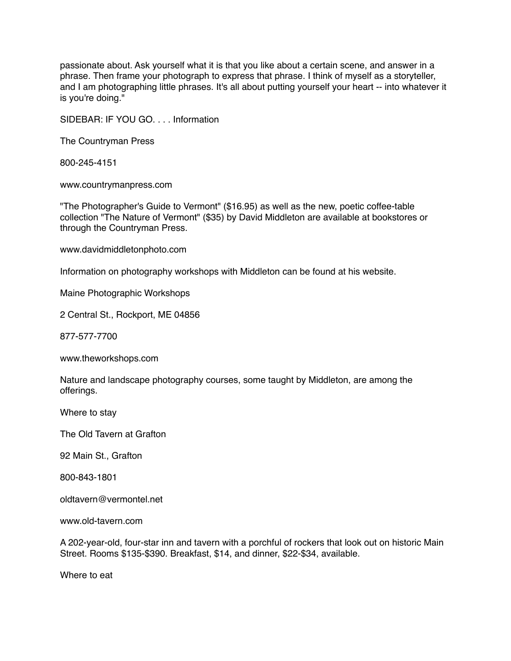passionate about. Ask yourself what it is that you like about a certain scene, and answer in a phrase. Then frame your photograph to express that phrase. I think of myself as a storyteller, and I am photographing little phrases. It's all about putting yourself your heart -- into whatever it is you're doing."

SIDEBAR: IF YOU GO. . . . Information

The Countryman Press

800-245-4151

www.countrymanpress.com

"The Photographer's Guide to Vermont" (\$16.95) as well as the new, poetic coffee-table collection "The Nature of Vermont" (\$35) by David Middleton are available at bookstores or through the Countryman Press.

www.davidmiddletonphoto.com

Information on photography workshops with Middleton can be found at his website.

Maine Photographic Workshops

2 Central St., Rockport, ME 04856

877-577-7700

www.theworkshops.com

Nature and landscape photography courses, some taught by Middleton, are among the offerings.

Where to stay

The Old Tavern at Grafton

92 Main St., Grafton

800-843-1801

oldtavern@vermontel.net

www.old-tavern.com

A 202-year-old, four-star inn and tavern with a porchful of rockers that look out on historic Main Street. Rooms \$135-\$390. Breakfast, \$14, and dinner, \$22-\$34, available.

Where to eat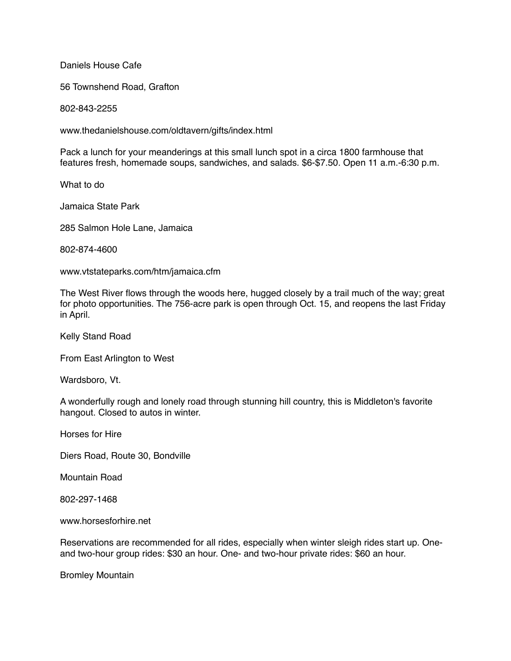Daniels House Cafe

56 Townshend Road, Grafton

802-843-2255

www.thedanielshouse.com/oldtavern/gifts/index.html

Pack a lunch for your meanderings at this small lunch spot in a circa 1800 farmhouse that features fresh, homemade soups, sandwiches, and salads. \$6-\$7.50. Open 11 a.m.-6:30 p.m.

What to do

Jamaica State Park

285 Salmon Hole Lane, Jamaica

802-874-4600

www.vtstateparks.com/htm/jamaica.cfm

The West River flows through the woods here, hugged closely by a trail much of the way; great for photo opportunities. The 756-acre park is open through Oct. 15, and reopens the last Friday in April.

Kelly Stand Road

From East Arlington to West

Wardsboro, Vt.

A wonderfully rough and lonely road through stunning hill country, this is Middleton's favorite hangout. Closed to autos in winter.

Horses for Hire

Diers Road, Route 30, Bondville

Mountain Road

802-297-1468

www.horsesforhire.net

Reservations are recommended for all rides, especially when winter sleigh rides start up. Oneand two-hour group rides: \$30 an hour. One- and two-hour private rides: \$60 an hour.

Bromley Mountain